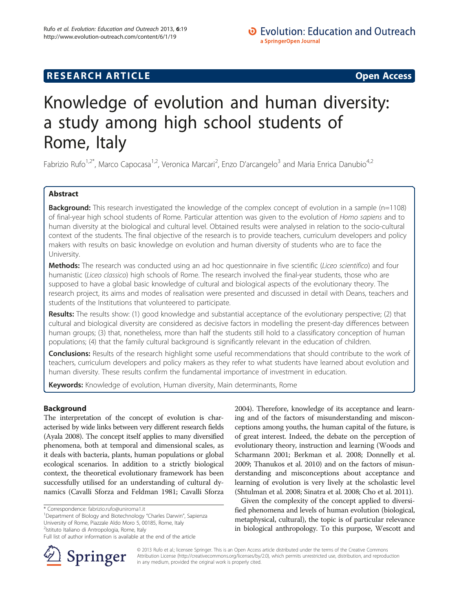# **RESEARCH ARTICLE Example 2014 12:30 The SEAR CHA RTICLE**

# Knowledge of evolution and human diversity: a study among high school students of Rome, Italy

Fabrizio Rufo<sup>1,2\*</sup>, Marco Capocasa<sup>1,2</sup>, Veronica Marcari<sup>2</sup>, Enzo D'arcangelo<sup>3</sup> and Maria Enrica Danubio<sup>4,2</sup>

# Abstract

**Background:** This research investigated the knowledge of the complex concept of evolution in a sample (n=1108) of final-year high school students of Rome. Particular attention was given to the evolution of Homo sapiens and to human diversity at the biological and cultural level. Obtained results were analysed in relation to the socio-cultural context of the students. The final objective of the research is to provide teachers, curriculum developers and policy makers with results on basic knowledge on evolution and human diversity of students who are to face the University.

Methods: The research was conducted using an ad hoc questionnaire in five scientific (Liceo scientifico) and four humanistic (Liceo classico) high schools of Rome. The research involved the final-year students, those who are supposed to have a global basic knowledge of cultural and biological aspects of the evolutionary theory. The research project, its aims and modes of realisation were presented and discussed in detail with Deans, teachers and students of the Institutions that volunteered to participate.

Results: The results show: (1) good knowledge and substantial acceptance of the evolutionary perspective; (2) that cultural and biological diversity are considered as decisive factors in modelling the present-day differences between human groups; (3) that, nonetheless, more than half the students still hold to a classificatory conception of human populations; (4) that the family cultural background is significantly relevant in the education of children.

Conclusions: Results of the research highlight some useful recommendations that should contribute to the work of teachers, curriculum developers and policy makers as they refer to what students have learned about evolution and human diversity. These results confirm the fundamental importance of investment in education.

Keywords: Knowledge of evolution, Human diversity, Main determinants, Rome

# Background

The interpretation of the concept of evolution is characterised by wide links between very different research fields (Ayala [2008](#page-7-0)). The concept itself applies to many diversified phenomena, both at temporal and dimensional scales, as it deals with bacteria, plants, human populations or global ecological scenarios. In addition to a strictly biological context, the theoretical evolutionary framework has been successfully utilised for an understanding of cultural dynamics (Cavalli Sforza and Feldman [1981;](#page-8-0) Cavalli Sforza

Department of Biology and Biotechnology "Charles Darwin", Sapienza

University of Rome, Piazzale Aldo Moro 5, 00185, Rome, Italy <sup>2</sup>Istituto Italiano di Antropologia, Rome, Italy

Full list of author information is available at the end of the article



[2004\)](#page-8-0). Therefore, knowledge of its acceptance and learning and of the factors of misunderstanding and misconceptions among youths, the human capital of the future, is of great interest. Indeed, the debate on the perception of evolutionary theory, instruction and learning (Woods and Scharmann [2001;](#page-9-0) Berkman et al. [2008;](#page-8-0) Donnelly et al. [2009;](#page-8-0) Thanukos et al. [2010\)](#page-9-0) and on the factors of misunderstanding and misconceptions about acceptance and learning of evolution is very lively at the scholastic level (Shtulman et al. [2008;](#page-8-0) Sinatra et al. [2008](#page-8-0); Cho et al. [2011\)](#page-8-0).

Given the complexity of the concept applied to diversified phenomena and levels of human evolution (biological, metaphysical, cultural), the topic is of particular relevance in biological anthropology. To this purpose, Wescott and

© 2013 Rufo et al.; licensee Springer. This is an Open Access article distributed under the terms of the Creative Commons Attribution License [\(http://creativecommons.org/licenses/by/2.0\)](http://creativecommons.org/licenses/by/2.0), which permits unrestricted use, distribution, and reproduction in any medium, provided the original work is properly cited.

<sup>\*</sup> Correspondence: [fabrizio.rufo@uniroma1.it](mailto:fabrizio.rufo@uniroma1.it) <sup>1</sup>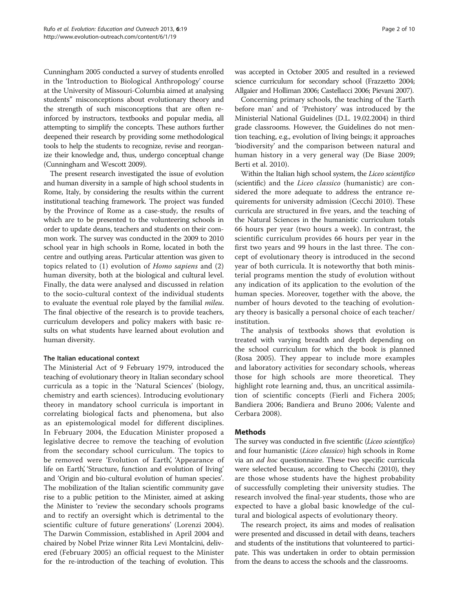Cunningham [2005](#page-9-0) conducted a survey of students enrolled in the 'Introduction to Biological Anthropology' course at the University of Missouri-Columbia aimed at analysing students" misconceptions about evolutionary theory and the strength of such misconceptions that are often reinforced by instructors, textbooks and popular media, all attempting to simplify the concepts. These authors further deepened their research by providing some methodological tools to help the students to recognize, revise and reorganize their knowledge and, thus, undergo conceptual change (Cunningham and Wescott [2009](#page-8-0)).

The present research investigated the issue of evolution and human diversity in a sample of high school students in Rome, Italy, by considering the results within the current institutional teaching framework. The project was funded by the Province of Rome as a case-study, the results of which are to be presented to the volunteering schools in order to update deans, teachers and students on their common work. The survey was conducted in the 2009 to 2010 school year in high schools in Rome, located in both the centre and outlying areas. Particular attention was given to topics related to (1) evolution of Homo sapiens and (2) human diversity, both at the biological and cultural level. Finally, the data were analysed and discussed in relation to the socio-cultural context of the individual students to evaluate the eventual role played by the familial mileu. The final objective of the research is to provide teachers, curriculum developers and policy makers with basic results on what students have learned about evolution and human diversity.

# The Italian educational context

The Ministerial Act of 9 February 1979, introduced the teaching of evolutionary theory in Italian secondary school curricula as a topic in the 'Natural Sciences' (biology, chemistry and earth sciences). Introducing evolutionary theory in mandatory school curricula is important in correlating biological facts and phenomena, but also as an epistemological model for different disciplines. In February 2004, the Education Minister proposed a legislative decree to remove the teaching of evolution from the secondary school curriculum. The topics to be removed were 'Evolution of Earth', 'Appearance of life on Earth', 'Structure, function and evolution of living' and 'Origin and bio-cultural evolution of human species'. The mobilization of the Italian scientific community gave rise to a public petition to the Minister, aimed at asking the Minister to 'review the secondary schools programs and to rectify an oversight which is detrimental to the scientific culture of future generations' (Lorenzi [2004](#page-8-0)). The Darwin Commission, established in April 2004 and chaired by Nobel Prize winner Rita Levi Montalcini, delivered (February 2005) an official request to the Minister for the re-introduction of the teaching of evolution. This was accepted in October 2005 and resulted in a reviewed science curriculum for secondary school (Frazzetto [2004](#page-8-0); Allgaier and Holliman [2006;](#page-7-0) Castellacci [2006;](#page-8-0) Pievani [2007](#page-8-0)).

Concerning primary schools, the teaching of the 'Earth before man' and of 'Prehistory' was introduced by the Ministerial National Guidelines (D.L. 19.02.2004) in third grade classrooms. However, the Guidelines do not mention teaching, e.g., evolution of living beings; it approaches 'biodiversity' and the comparison between natural and human history in a very general way (De Biase [2009](#page-8-0); Berti et al. [2010\)](#page-8-0).

Within the Italian high school system, the Liceo scientifico (scientific) and the Liceo classico (humanistic) are considered the more adequate to address the entrance requirements for university admission (Cecchi [2010](#page-8-0)). These curricula are structured in five years, and the teaching of the Natural Sciences in the humanistic curriculum totals 66 hours per year (two hours a week). In contrast, the scientific curriculum provides 66 hours per year in the first two years and 99 hours in the last three. The concept of evolutionary theory is introduced in the second year of both curricula. It is noteworthy that both ministerial programs mention the study of evolution without any indication of its application to the evolution of the human species. Moreover, together with the above, the number of hours devoted to the teaching of evolutionary theory is basically a personal choice of each teacher/ institution.

The analysis of textbooks shows that evolution is treated with varying breadth and depth depending on the school curriculum for which the book is planned (Rosa [2005\)](#page-8-0). They appear to include more examples and laboratory activities for secondary schools, whereas those for high schools are more theoretical. They highlight rote learning and, thus, an uncritical assimilation of scientific concepts (Fierli and Fichera [2005](#page-8-0); Bandiera [2006](#page-8-0); Bandiera and Bruno [2006;](#page-8-0) Valente and Cerbara [2008](#page-9-0)).

# Methods

The survey was conducted in five scientific (Liceo scientifico) and four humanistic (Liceo classico) high schools in Rome via an ad hoc questionnaire. These two specific curricula were selected because, according to Checchi [\(2010\)](#page-8-0), they are those whose students have the highest probability of successfully completing their university studies. The research involved the final-year students, those who are expected to have a global basic knowledge of the cultural and biological aspects of evolutionary theory.

The research project, its aims and modes of realisation were presented and discussed in detail with deans, teachers and students of the institutions that volunteered to participate. This was undertaken in order to obtain permission from the deans to access the schools and the classrooms.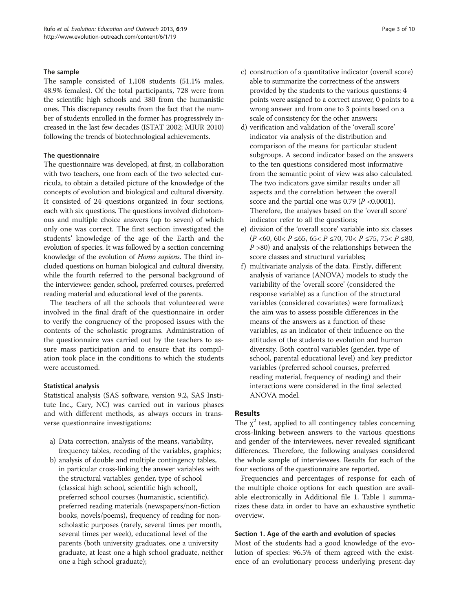#### The sample

The sample consisted of 1,108 students (51.1% males, 48.9% females). Of the total participants, 728 were from the scientific high schools and 380 from the humanistic ones. This discrepancy results from the fact that the number of students enrolled in the former has progressively increased in the last few decades (ISTAT [2002](#page-8-0); MIUR [2010](#page-8-0)) following the trends of biotechnological achievements.

### The questionnaire

The questionnaire was developed, at first, in collaboration with two teachers, one from each of the two selected curricula, to obtain a detailed picture of the knowledge of the concepts of evolution and biological and cultural diversity. It consisted of 24 questions organized in four sections, each with six questions. The questions involved dichotomous and multiple choice answers (up to seven) of which only one was correct. The first section investigated the students' knowledge of the age of the Earth and the evolution of species. It was followed by a section concerning knowledge of the evolution of Homo sapiens. The third included questions on human biological and cultural diversity, while the fourth referred to the personal background of the interviewee: gender, school, preferred courses, preferred reading material and educational level of the parents.

The teachers of all the schools that volunteered were involved in the final draft of the questionnaire in order to verify the congruency of the proposed issues with the contents of the scholastic programs. Administration of the questionnaire was carried out by the teachers to assure mass participation and to ensure that its compilation took place in the conditions to which the students were accustomed.

# Statistical analysis

Statistical analysis (SAS software, version 9.2, SAS Institute Inc., Cary, NC) was carried out in various phases and with different methods, as always occurs in transverse questionnaire investigations:

- a) Data correction, analysis of the means, variability, frequency tables, recoding of the variables, graphics;
- b) analysis of double and multiple contingency tables, in particular cross-linking the answer variables with the structural variables: gender, type of school (classical high school, scientific high school), preferred school courses (humanistic, scientific), preferred reading materials (newspapers/non-fiction books, novels/poems), frequency of reading for nonscholastic purposes (rarely, several times per month, several times per week), educational level of the parents (both university graduates, one a university graduate, at least one a high school graduate, neither one a high school graduate);
- c) construction of a quantitative indicator (overall score) able to summarize the correctness of the answers provided by the students to the various questions: 4 points were assigned to a correct answer, 0 points to a wrong answer and from one to 3 points based on a scale of consistency for the other answers;
- d) verification and validation of the 'overall score' indicator via analysis of the distribution and comparison of the means for particular student subgroups. A second indicator based on the answers to the ten questions considered most informative from the semantic point of view was also calculated. The two indicators gave similar results under all aspects and the correlation between the overall score and the partial one was  $0.79$  ( $P < 0.0001$ ). Therefore, the analyses based on the 'overall score' indicator refer to all the questions;
- e) division of the 'overall score' variable into six classes (P <60, 60< P ≤65, 65< P ≤70, 70< P ≤75, 75< P ≤80,  $P > 80$ ) and analysis of the relationships between the score classes and structural variables;
- f) multivariate analysis of the data. Firstly, different analysis of variance (ANOVA) models to study the variability of the 'overall score' (considered the response variable) as a function of the structural variables (considered covariates) were formalized; the aim was to assess possible differences in the means of the answers as a function of these variables, as an indicator of their influence on the attitudes of the students to evolution and human diversity. Both control variables (gender, type of school, parental educational level) and key predictor variables (preferred school courses, preferred reading material, frequency of reading) and their interactions were considered in the final selected ANOVA model.

# Results

The  $\chi^2$  test, applied to all contingency tables concerning cross-linking between answers to the various questions and gender of the interviewees, never revealed significant differences. Therefore, the following analyses considered the whole sample of interviewees. Results for each of the four sections of the questionnaire are reported.

Frequencies and percentages of response for each of the multiple choice options for each question are available electronically in Additional file [1.](#page-7-0) Table [1](#page-3-0) summarizes these data in order to have an exhaustive synthetic overview.

# Section 1. Age of the earth and evolution of species

Most of the students had a good knowledge of the evolution of species: 96.5% of them agreed with the existence of an evolutionary process underlying present-day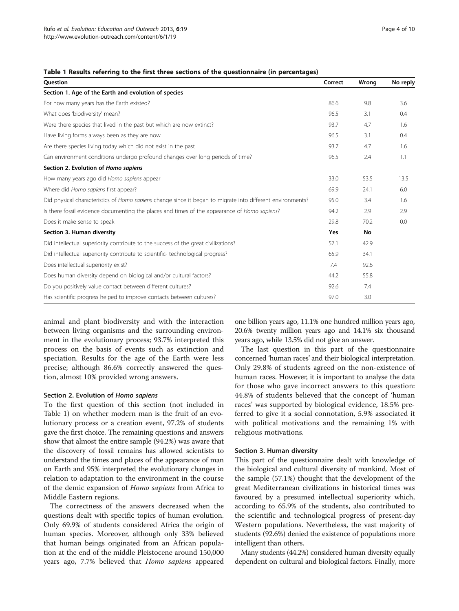#### <span id="page-3-0"></span>Table 1 Results referring to the first three sections of the questionnaire (in percentages)

| <b>Ouestion</b>                                                                                            | Correct | Wrong | No reply |
|------------------------------------------------------------------------------------------------------------|---------|-------|----------|
| Section 1. Age of the Earth and evolution of species                                                       |         |       |          |
| For how many years has the Earth existed?                                                                  | 86.6    | 9.8   | 3.6      |
| What does 'biodiversity' mean?                                                                             | 96.5    | 3.1   | 0.4      |
| Were there species that lived in the past but which are now extinct?                                       | 93.7    | 4.7   | 1.6      |
| Have living forms always been as they are now                                                              | 96.5    | 3.1   | 0.4      |
| Are there species living today which did not exist in the past                                             | 93.7    | 4.7   | 1.6      |
| Can environment conditions undergo profound changes over long periods of time?                             | 96.5    | 2.4   | 1.1      |
| Section 2. Evolution of Homo sapiens                                                                       |         |       |          |
| How many years ago did Homo sapiens appear                                                                 | 33.0    | 53.5  | 13.5     |
| Where did Homo sapiens first appear?                                                                       | 69.9    | 24.1  | 6.0      |
| Did physical characteristics of Homo sapiens change since it began to migrate into different environments? | 95.0    | 3.4   | 1.6      |
| Is there fossil evidence documenting the places and times of the appearance of Homo sapiens?               | 94.2    | 2.9   | 2.9      |
| Does it make sense to speak                                                                                | 29.8    | 70.2  | 0.0      |
| Section 3. Human diversity                                                                                 | Yes     | No    |          |
| Did intellectual superiority contribute to the success of the great civilizations?                         | 57.1    | 42.9  |          |
| Did intellectual superiority contribute to scientific- technological progress?                             | 65.9    | 34.1  |          |
| Does intellectual superiority exist?                                                                       | 7.4     | 92.6  |          |
| Does human diversity depend on biological and/or cultural factors?                                         | 44.2    | 55.8  |          |
| Do you positively value contact between different cultures?                                                | 92.6    | 7.4   |          |
| Has scientific progress helped to improve contacts between cultures?                                       | 97.0    | 3.0   |          |

animal and plant biodiversity and with the interaction between living organisms and the surrounding environment in the evolutionary process; 93.7% interpreted this process on the basis of events such as extinction and speciation. Results for the age of the Earth were less precise; although 86.6% correctly answered the question, almost 10% provided wrong answers.

#### Section 2. Evolution of Homo sapiens

To the first question of this section (not included in Table 1) on whether modern man is the fruit of an evolutionary process or a creation event, 97.2% of students gave the first choice. The remaining questions and answers show that almost the entire sample (94.2%) was aware that the discovery of fossil remains has allowed scientists to understand the times and places of the appearance of man on Earth and 95% interpreted the evolutionary changes in relation to adaptation to the environment in the course of the demic expansion of Homo sapiens from Africa to Middle Eastern regions.

The correctness of the answers decreased when the questions dealt with specific topics of human evolution. Only 69.9% of students considered Africa the origin of human species. Moreover, although only 33% believed that human beings originated from an African population at the end of the middle Pleistocene around 150,000 years ago, 7.7% believed that Homo sapiens appeared

one billion years ago, 11.1% one hundred million years ago, 20.6% twenty million years ago and 14.1% six thousand years ago, while 13.5% did not give an answer.

The last question in this part of the questionnaire concerned 'human races' and their biological interpretation. Only 29.8% of students agreed on the non-existence of human races. However, it is important to analyse the data for those who gave incorrect answers to this question: 44.8% of students believed that the concept of 'human races' was supported by biological evidence, 18.5% preferred to give it a social connotation, 5.9% associated it with political motivations and the remaining 1% with religious motivations.

#### Section 3. Human diversity

This part of the questionnaire dealt with knowledge of the biological and cultural diversity of mankind. Most of the sample (57.1%) thought that the development of the great Mediterranean civilizations in historical times was favoured by a presumed intellectual superiority which, according to 65.9% of the students, also contributed to the scientific and technological progress of present-day Western populations. Nevertheless, the vast majority of students (92.6%) denied the existence of populations more intelligent than others.

Many students (44.2%) considered human diversity equally dependent on cultural and biological factors. Finally, more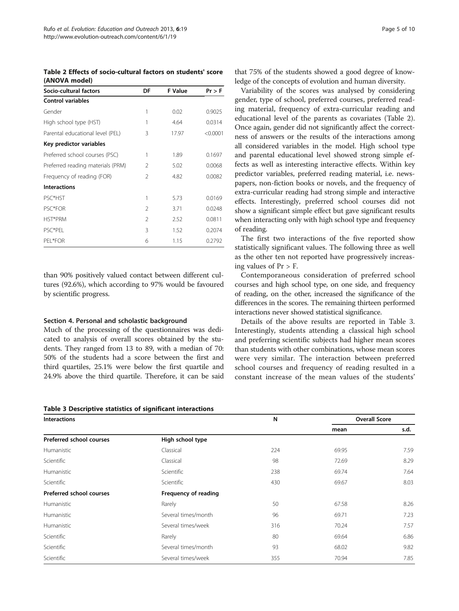Table 2 Effects of socio-cultural factors on students' score (ANOVA model)

| Socio-cultural factors            | DF            | <b>F</b> Value | Pr > F   |
|-----------------------------------|---------------|----------------|----------|
| <b>Control variables</b>          |               |                |          |
| Gender                            | 1             | 0.02           | 0.9025   |
| High school type (HST)            | 1             | 4.64           | 0.0314   |
| Parental educational level (PEL)  | 3             | 17.97          | < 0.0001 |
| Key predictor variables           |               |                |          |
| Preferred school courses (PSC)    | 1             | 1.89           | 0.1697   |
| Preferred reading materials (PRM) | $\mathcal{P}$ | 5.02           | 0.0068   |
| Frequency of reading (FOR)        | $\mathcal{P}$ | 4.82           | 0.0082   |
| <b>Interactions</b>               |               |                |          |
| PSC*HST                           | 1             | 5.73           | 0.0169   |
| PSC*FOR                           | $\mathcal{P}$ | 3.71           | 0.0248   |
| <b>HST*PRM</b>                    | $\mathcal{P}$ | 2.52           | 0.0811   |
| PSC*PEL                           | 3             | 1.52           | 0.2074   |
| PEL*FOR                           | 6             | 1.15           | 0.2792   |

than 90% positively valued contact between different cultures (92.6%), which according to 97% would be favoured by scientific progress.

#### Section 4. Personal and scholastic background

Much of the processing of the questionnaires was dedicated to analysis of overall scores obtained by the students. They ranged from 13 to 89, with a median of 70: 50% of the students had a score between the first and third quartiles, 25.1% were below the first quartile and 24.9% above the third quartile. Therefore, it can be said

|  |  |  |  |  |  | Table 3 Descriptive statistics of significant interactions |
|--|--|--|--|--|--|------------------------------------------------------------|
|--|--|--|--|--|--|------------------------------------------------------------|

that 75% of the students showed a good degree of knowledge of the concepts of evolution and human diversity.

Variability of the scores was analysed by considering gender, type of school, preferred courses, preferred reading material, frequency of extra-curricular reading and educational level of the parents as covariates (Table 2). Once again, gender did not significantly affect the correctness of answers or the results of the interactions among all considered variables in the model. High school type and parental educational level showed strong simple effects as well as interesting interactive effects. Within key predictor variables, preferred reading material, i.e. newspapers, non-fiction books or novels, and the frequency of extra-curricular reading had strong simple and interactive effects. Interestingly, preferred school courses did not show a significant simple effect but gave significant results when interacting only with high school type and frequency of reading.

The first two interactions of the five reported show statistically significant values. The following three as well as the other ten not reported have progressively increasing values of  $Pr > F$ .

Contemporaneous consideration of preferred school courses and high school type, on one side, and frequency of reading, on the other, increased the significance of the differences in the scores. The remaining thirteen performed interactions never showed statistical significance.

Details of the above results are reported in Table 3. Interestingly, students attending a classical high school and preferring scientific subjects had higher mean scores than students with other combinations, whose mean scores were very similar. The interaction between preferred school courses and frequency of reading resulted in a constant increase of the mean values of the students'

| Interactions             |                      | N   | <b>Overall Score</b> |      |
|--------------------------|----------------------|-----|----------------------|------|
|                          |                      |     | mean                 | s.d. |
| Preferred school courses | High school type     |     |                      |      |
| Humanistic               | Classical            | 224 | 69.95                | 7.59 |
| Scientific               | Classical            | 98  | 72.69                | 8.29 |
| Humanistic               | Scientific           | 238 | 69.74                | 7.64 |
| Scientific               | Scientific           | 430 | 69.67                | 8.03 |
| Preferred school courses | Frequency of reading |     |                      |      |
| Humanistic               | Rarely               | 50  | 67.58                | 8.26 |
| Humanistic               | Several times/month  | 96  | 69.71                | 7.23 |
| Humanistic               | Several times/week   | 316 | 70.24                | 7.57 |
| Scientific               | Rarely               | 80  | 69.64                | 6.86 |
| Scientific               | Several times/month  | 93  | 68.02                | 9.82 |
| Scientific               | Several times/week   | 355 | 70.94                | 7.85 |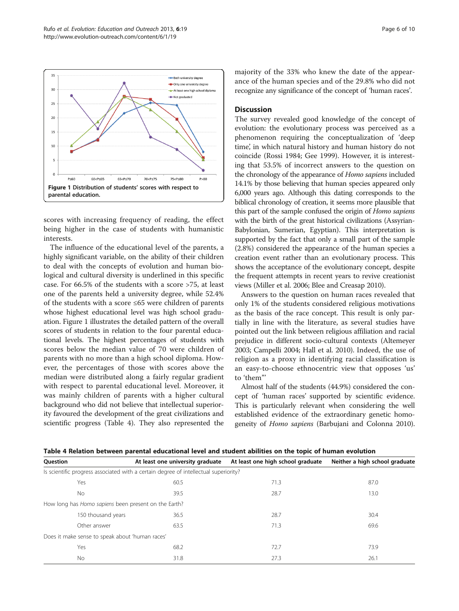

scores with increasing frequency of reading, the effect being higher in the case of students with humanistic interests.

The influence of the educational level of the parents, a highly significant variable, on the ability of their children to deal with the concepts of evolution and human biological and cultural diversity is underlined in this specific case. For 66.5% of the students with a score >75, at least one of the parents held a university degree, while 52.4% of the students with a score ≤65 were children of parents whose highest educational level was high school graduation. Figure 1 illustrates the detailed pattern of the overall scores of students in relation to the four parental educational levels. The highest percentages of students with scores below the median value of 70 were children of parents with no more than a high school diploma. However, the percentages of those with scores above the median were distributed along a fairly regular gradient with respect to parental educational level. Moreover, it was mainly children of parents with a higher cultural background who did not believe that intellectual superiority favoured the development of the great civilizations and scientific progress (Table 4). They also represented the majority of the 33% who knew the date of the appearance of the human species and of the 29.8% who did not recognize any significance of the concept of 'human races'.

#### **Discussion**

The survey revealed good knowledge of the concept of evolution: the evolutionary process was perceived as a phenomenon requiring the conceptualization of 'deep time', in which natural history and human history do not coincide (Rossi [1984;](#page-8-0) Gee [1999\)](#page-8-0). However, it is interesting that 53.5% of incorrect answers to the question on the chronology of the appearance of Homo sapiens included 14.1% by those believing that human species appeared only 6,000 years ago. Although this dating corresponds to the biblical chronology of creation, it seems more plausible that this part of the sample confused the origin of Homo sapiens with the birth of the great historical civilizations (Assyrian-Babylonian, Sumerian, Egyptian). This interpretation is supported by the fact that only a small part of the sample (2.8%) considered the appearance of the human species a creation event rather than an evolutionary process. This shows the acceptance of the evolutionary concept, despite the frequent attempts in recent years to revive creationist views (Miller et al. [2006;](#page-8-0) Blee and Creasap [2010](#page-8-0)).

Answers to the question on human races revealed that only 1% of the students considered religious motivations as the basis of the race concept. This result is only partially in line with the literature, as several studies have pointed out the link between religious affiliation and racial prejudice in different socio-cultural contexts (Altemeyer [2003](#page-7-0); Campelli [2004;](#page-8-0) Hall et al. [2010\)](#page-8-0). Indeed, the use of religion as a proxy in identifying racial classification is an easy-to-choose ethnocentric view that opposes 'us' to 'them"'

Almost half of the students (44.9%) considered the concept of 'human races' supported by scientific evidence. This is particularly relevant when considering the well established evidence of the extraordinary genetic homo-geneity of Homo sapiens (Barbujani and Colonna [2010](#page-8-0)).

| <b>Ouestion</b>                                 | At least one university graduate                                                     | At least one high school graduate | Neither a high school graduate |
|-------------------------------------------------|--------------------------------------------------------------------------------------|-----------------------------------|--------------------------------|
|                                                 | Is scientific progress associated with a certain degree of intellectual superiority? |                                   |                                |
| Yes                                             | 60.5                                                                                 | 71.3                              | 87.0                           |
| <b>No</b>                                       | 39.5                                                                                 | 28.7                              | 13.0                           |
|                                                 | How long has Homo sapiens been present on the Earth?                                 |                                   |                                |
| 150 thousand years                              | 36.5                                                                                 | 28.7                              | 30.4                           |
| Other answer                                    | 63.5                                                                                 | 71.3                              | 69.6                           |
| Does it make sense to speak about 'human races' |                                                                                      |                                   |                                |
| Yes                                             | 68.2                                                                                 | 72.7                              | 73.9                           |
| No.                                             | 31.8                                                                                 | 27.3                              | 26.1                           |

Table 4 Relation between parental educational level and student abilities on the topic of human evolution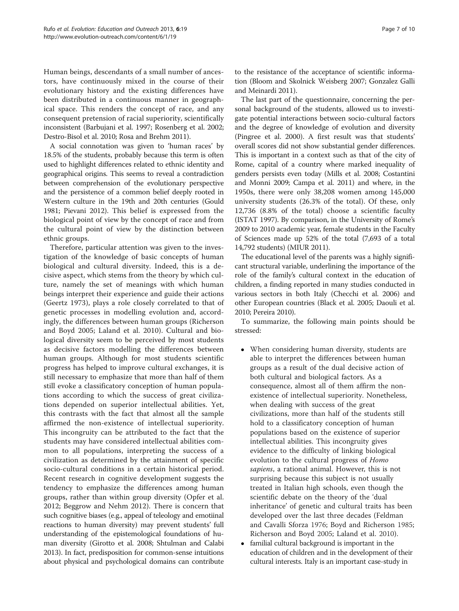Human beings, descendants of a small number of ancestors, have continuously mixed in the course of their evolutionary history and the existing differences have been distributed in a continuous manner in geographical space. This renders the concept of race, and any consequent pretension of racial superiority, scientifically inconsistent (Barbujani et al. [1997](#page-8-0); Rosenberg et al. [2002](#page-8-0); Destro-Bisol et al. [2010;](#page-8-0) Rosa and Brehm [2011](#page-8-0)).

A social connotation was given to 'human races' by 18.5% of the students, probably because this term is often used to highlight differences related to ethnic identity and geographical origins. This seems to reveal a contradiction between comprehension of the evolutionary perspective and the persistence of a common belief deeply rooted in Western culture in the 19th and 20th centuries (Gould [1981;](#page-8-0) Pievani [2012\)](#page-8-0). This belief is expressed from the biological point of view by the concept of race and from the cultural point of view by the distinction between ethnic groups.

Therefore, particular attention was given to the investigation of the knowledge of basic concepts of human biological and cultural diversity. Indeed, this is a decisive aspect, which stems from the theory by which culture, namely the set of meanings with which human beings interpret their experience and guide their actions (Geertz [1973](#page-8-0)), plays a role closely correlated to that of genetic processes in modelling evolution and, accordingly, the differences between human groups (Richerson and Boyd [2005](#page-8-0); Laland et al. [2010](#page-8-0)). Cultural and biological diversity seem to be perceived by most students as decisive factors modelling the differences between human groups. Although for most students scientific progress has helped to improve cultural exchanges, it is still necessary to emphasize that more than half of them still evoke a classificatory conception of human populations according to which the success of great civilizations depended on superior intellectual abilities. Yet, this contrasts with the fact that almost all the sample affirmed the non-existence of intellectual superiority. This incongruity can be attributed to the fact that the students may have considered intellectual abilities common to all populations, interpreting the success of a civilization as determined by the attainment of specific socio-cultural conditions in a certain historical period. Recent research in cognitive development suggests the tendency to emphasize the differences among human groups, rather than within group diversity (Opfer et al. [2012;](#page-8-0) Beggrow and Nehm [2012\)](#page-8-0). There is concern that such cognitive biases (e.g., appeal of teleology and emotiinal reactions to human diversity) may prevent students' full understanding of the epistemological foundations of human diversity (Girotto et al. [2008](#page-8-0); Shtulman and Calabi [2013\)](#page-8-0). In fact, predisposition for common-sense intuitions about physical and psychological domains can contribute

to the resistance of the acceptance of scientific information (Bloom and Skolnick Weisberg [2007](#page-8-0); Gonzalez Galli and Meinardi [2011\)](#page-8-0).

The last part of the questionnaire, concerning the personal background of the students, allowed us to investigate potential interactions between socio-cultural factors and the degree of knowledge of evolution and diversity (Pingree et al. [2000\)](#page-8-0). A first result was that students' overall scores did not show substantial gender differences. This is important in a context such as that of the city of Rome, capital of a country where marked inequality of genders persists even today (Mills et al. [2008](#page-8-0); Costantini and Monni [2009](#page-8-0); Campa et al. [2011](#page-8-0)) and where, in the 1950s, there were only 38,208 women among 145,000 university students (26.3% of the total). Of these, only 12,736 (8.8% of the total) choose a scientific faculty (ISTAT [1997\)](#page-8-0). By comparison, in the University of Rome's 2009 to 2010 academic year, female students in the Faculty of Sciences made up 52% of the total (7,693 of a total 14,792 students) (MIUR [2011](#page-8-0)).

The educational level of the parents was a highly significant structural variable, underlining the importance of the role of the family's cultural context in the education of children, a finding reported in many studies conducted in various sectors in both Italy (Checchi et al. [2006\)](#page-8-0) and other European countries (Black et al. [2005;](#page-8-0) Daouli et al. [2010](#page-8-0); Pereira [2010\)](#page-8-0).

To summarize, the following main points should be stressed:

- When considering human diversity, students are able to interpret the differences between human groups as a result of the dual decisive action of both cultural and biological factors. As a consequence, almost all of them affirm the nonexistence of intellectual superiority. Nonetheless, when dealing with success of the great civilizations, more than half of the students still hold to a classificatory conception of human populations based on the existence of superior intellectual abilities. This incongruity gives evidence to the difficulty of linking biological evolution to the cultural progress of Homo sapiens, a rational animal. However, this is not surprising because this subject is not usually treated in Italian high schools, even though the scientific debate on the theory of the 'dual inheritance' of genetic and cultural traits has been developed over the last three decades (Feldman and Cavalli Sforza [1976](#page-8-0); Boyd and Richerson [1985;](#page-8-0) Richerson and Boyd [2005](#page-8-0); Laland et al. [2010\)](#page-8-0).
- familial cultural background is important in the education of children and in the development of their cultural interests. Italy is an important case-study in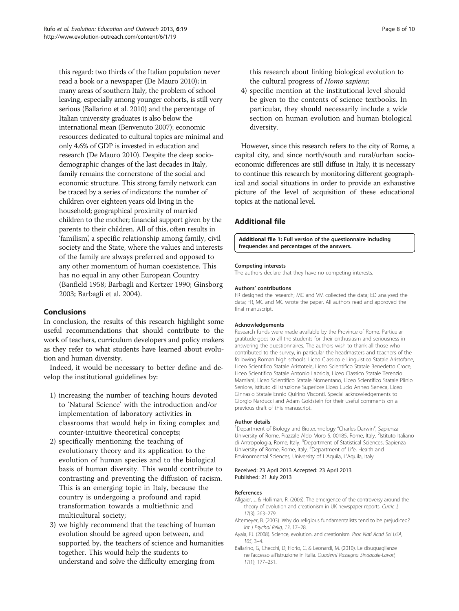<span id="page-7-0"></span>this regard: two thirds of the Italian population never read a book or a newspaper (De Mauro [2010\)](#page-8-0); in many areas of southern Italy, the problem of school leaving, especially among younger cohorts, is still very serious (Ballarino et al. 2010) and the percentage of Italian university graduates is also below the international mean (Benvenuto [2007](#page-8-0)); economic resources dedicated to cultural topics are minimal and only 4.6% of GDP is invested in education and research (De Mauro [2010\)](#page-8-0). Despite the deep sociodemographic changes of the last decades in Italy, family remains the cornerstone of the social and economic structure. This strong family network can be traced by a series of indicators: the number of children over eighteen years old living in the household; geographical proximity of married children to the mother; financial support given by the parents to their children. All of this, often results in 'familism', a specific relationship among family, civil society and the State, where the values and interests of the family are always preferred and opposed to any other momentum of human coexistence. This has no equal in any other European Country (Banfield [1958](#page-8-0); Barbagli and Kertzer [1990;](#page-8-0) Ginsborg [2003](#page-8-0); Barbagli et al. [2004\)](#page-8-0).

# Conclusions

In conclusion, the results of this research highlight some useful recommendations that should contribute to the work of teachers, curriculum developers and policy makers as they refer to what students have learned about evolution and human diversity.

Indeed, it would be necessary to better define and develop the institutional guidelines by:

- 1) increasing the number of teaching hours devoted to 'Natural Science' with the introduction and/or implementation of laboratory activities in classrooms that would help in fixing complex and counter-intuitive theoretical concepts;
- 2) specifically mentioning the teaching of evolutionary theory and its application to the evolution of human species and to the biological basis of human diversity. This would contribute to contrasting and preventing the diffusion of racism. This is an emerging topic in Italy, because the country is undergoing a profound and rapid transformation towards a multiethnic and multicultural society;
- 3) we highly recommend that the teaching of human evolution should be agreed upon between, and supported by, the teachers of science and humanities together. This would help the students to understand and solve the difficulty emerging from

this research about linking biological evolution to the cultural progress of Homo sapiens;

4) specific mention at the institutional level should be given to the contents of science textbooks. In particular, they should necessarily include a wide section on human evolution and human biological diversity.

However, since this research refers to the city of Rome, a capital city, and since north/south and rural/urban socioeconomic differences are still diffuse in Italy, it is necessary to continue this research by monitoring different geographical and social situations in order to provide an exhaustive picture of the level of acquisition of these educational topics at the national level.

# Additional file

[Additional file 1:](http://www.biomedcentral.com/content/supplementary/1936-6434-6-19-S1.doc) Full version of the questionnaire including frequencies and percentages of the answers.

#### Competing interests

The authors declare that they have no competing interests.

#### Authors' contributions

FR designed the research; MC and VM collected the data; ED analysed the data; FR, MC and MC wrote the paper. All authors read and approved the final manuscript.

#### Acknowledgements

Research funds were made available by the Province of Rome. Particular gratitude goes to all the students for their enthusiasm and seriousness in answering the questionnaires. The authors wish to thank all those who contributed to the survey, in particular the headmasters and teachers of the following Roman high schools: Liceo Classico e Linguistico Statale Aristofane, Liceo Scientifico Statale Aristotele, Liceo Scientifico Statale Benedetto Croce, Liceo Scientifico Statale Antonio Labriola, Liceo Classico Statale Terenzio Mamiani, Liceo Scientifico Statale Nomentano, Liceo Scientifico Statale Plinio Seniore, Istituto di Istruzione Superiore Liceo Lucio Anneo Seneca, Liceo Ginnasio Statale Ennio Quirino Visconti. Special acknowledgements to Giorgio Narducci and Adam Goldstein for their useful comments on a previous draft of this manuscript.

#### Author details

<sup>1</sup>Department of Biology and Biotechnology "Charles Darwin", Sapienza University of Rome, Piazzale Aldo Moro 5, 00185, Rome, Italy. <sup>2</sup>Istituto Italianc di Antropologia, Rome, Italy. <sup>3</sup>Department of Statistical Sciences, Sapienza University of Rome, Rome, Italy. <sup>4</sup>Department of Life, Health and Environmental Sciences, University of L'Aquila, L'Aquila, Italy.

#### Received: 23 April 2013 Accepted: 23 April 2013 Published: 21 July 2013

#### References

- Allgaier, J, & Holliman, R. (2006). The emergence of the controversy around the theory of evolution and creationism in UK newspaper reports. Curric J, 17(3), 263–279.
- Altemeyer, B. (2003). Why do religious fundamentalists tend to be prejudiced? Int J Psychol Relig, 13, 17–28.
- Ayala, FJ. (2008). Science, evolution, and creationism. Proc Natl Acad Sci USA, 105, 3–4.
- Ballarino, G, Checchi, D, Fiorio, C, & Leonardi, M. (2010). Le disuguaglianze nell'accesso all'istruzione in Italia. Quaderni Rassegna Sindacale-Lavori, 11(1), 177–231.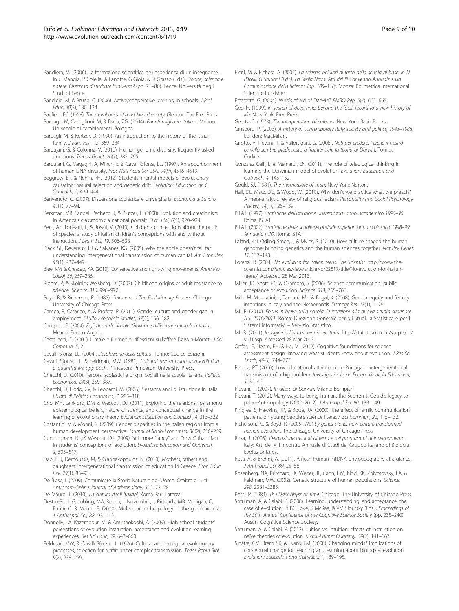- <span id="page-8-0"></span>Bandiera, M. (2006). La formazione scientifica nell'esperienza di un insegnante. In C Mangia, P Colella, A Lanotte, G Gioia, & D Grasso (Eds.), Donne, scienza e potere. Oseremo disturbare l'universo? (pp. 71–80). Lecce: Università degli Studi di Lecce.
- Bandiera, M, & Bruno, C. (2006). Active/cooperative learning in schools. J Biol Educ, 40(3), 130–134.
- Banfield, EC. (1958). The moral basis of a backward society. Glencoe: The Free Press.
- Barbagli, M, Castiglioni, M, & Dalla, ZG. (2004). Fare famiglia in Italia. Il Mulino: Un secolo di cambiamenti. Bologna.
- Barbagli, M, & Kertzer, D. (1990). An introduction to the history of the Italian family. J Fam Hist, 15, 369–384.
- Barbujani, G, & Colonna, V. (2010). Human genome diversity: frequently asked questions. Trends Genet, 26(7), 285–295.
- Barbujani, G, Magagni, A, Minch, E, & Cavalli-Sforza, LL. (1997). An apportionment of human DNA diversity. Proc Natl Acad Sci USA, 94(9), 4516–4519.
- Beggrow, EP, & Nehm, RH. (2012). Students' mental models of evolutionary causation: natural selection and genetic drift. Evolution: Education and Outreach, 5, 429–444.
- Benvenuto, G. (2007). Dispersione scolastica e universitaria. Economia & Lavoro, 41(1), 77–94.
- Berkman, MB, Sandell Pacheco, J, & Plutzer, E. (2008). Evolution and creationism in America's classrooms: a national portrait. PLoS Biol, 6(5), 920–924.
- Berti, AE, Toneatti, L, & Rosati, V. (2010). Children's conceptions about the origin of species: a study of italian children's conceptions with and without Instruction. J Learn Sci, 19, 506–538.
- Black, SE, Devereux, PJ, & Salvanes, KG. (2005). Why the apple doesn't fall far: understanding intergenerational transmission of human capital. Am Econ Rev, 95(1), 437–449.
- Blee, KM, & Creasap, KA. (2010). Conservative and right-wing movements. Annu Rev Sociol, 36, 269–286.
- Bloom, P, & Skolnick Weisberg, D. (2007). Childhood origins of adult resistance to science. Science, 316, 996–997.
- Boyd, R, & Richerson, P. (1985). Culture and The Evolutionary Process. Chicago: University of Chicago Press.
- Campa, P, Casarico, A, & Profeta, P. (2011). Gender culture and gender gap in employment. CESifo Economic Studies, 57(1), 156–182.
- Campelli, E. (2004). Figli di un dio locale. Giovani e differenze culturali in Italia. Milano: Franco Angeli.
- Castellacci, C. (2006). Il male e il rimedio: riflessioni sull'affare Darwin-Moratti. J Sci Commun, 5, 2.
- Cavalli Sforza, LL. (2004). L'Evoluzione della cultura. Torino: Codice Edizioni.
- Cavalli Sforza, LL, & Feldman, MW. (1981). Cultural transmission and evolution: a quantitative approach. Princeton: Princeton University Press.
- Checchi, D. (2010). Percorsi scolastici e origini sociali nella scuola italiana. Politica Economica, 24(3), 359–387.
- Checchi, D, Fiorio, CV, & Leopardi, M. (2006). Sessanta anni di istruzione in Italia. Rivista di Politica Economica, 7, 285–318.
- Cho, MH, Lankford, DM, & Wescott, DJ. (2011). Exploring the relarionships among epistemological beliefs, nature of science, and conceptual change in the learning of evolutionary theory. Evolution: Education and Outreach, 4, 313–322.
- Costantini, V, & Monni, S. (2009). Gender disparities in the Italian regions from a human development perspective. Journal of Socio-Economics, 38(2), 256–269.
- Cunningham, DL, & Wescott, DJ. (2009). Still more "fancy" and "myth" than "fact" in students' conceptions of evolution. Evolution: Education and Outreach, 2, 505–517.
- Daouli, J, Demoussis, M, & Giannakopoulos, N. (2010). Mothers, fathers and daughters: intergenerational transmission of education in Greece. Econ Educ Rev, 29(1), 83–93.
- De Biase, I. (2009). Comunicare la Storia Naturale dell'Uomo: Ombre e Luci. Antrocom-Online Journal of Anthropology, 5(1), 73–78.
- De Mauro, T. (2010). La cultura degli Italiani. Roma-Bari: Laterza.
- Destro-Bisol, G, Jobling, MA, Rocha, J, Novembre, J, Richards, MB, Mulligan, C, Batini, C, & Manni, F. (2010). Molecular anthropology in the genomic era. J Anthropol Sci, 88, 93–112.
- Donnelly, LA, Kazempour, M, & Amirshokoohi, A. (2009). High school students' perceptions of evolution instruction: acceptance and evolution learning experiences. Res Sci Educ, 39, 643–660.
- Feldman, MW, & Cavalli Sforza, LL. (1976). Cultural and biological evolutionary processes, selection for a trait under complex transmission. Theor Popul Biol, 9(2), 238–259.
- Fierli, M, & Fichera, A. (2005). La scienza nei libri di testo della scuola di base. In N Pitrelli, G Sturloni (Eds.), La Stella Nova. Atti del III Convegno Annuale sulla Comunicazione della Scienza (pp. 105–118). Monza: Polimetrica International Scientific Publisher.
- Frazzetto, G. (2004). Who's afraid of Darwin? EMBO Rep, 5(7), 662–665.
- Gee, H. (1999). In search of deep time: beyond the fossil record to a new history of life. New York: Free Press.
- Geertz, C. (1973). The interpretation of cultures. New York: Basic Books.
- Ginsborg, P. (2003). A history of contemporary Italy: society and politics, 1943–1988. London: MacMillan.
- Girotto, V, Pievani, T, & Vallortigara, G. (2008). Nati per credere. Perché il nostro cervello sembra predisposto a fraintendere la teoria di Darwin. Torino: Codice.
- Gonzalez Galli, L, & Meinardi, EN. (2011). The role of teleological thinking in learning the Darwinian model of evolution. Evolution: Education and Outreach, 4, 145–152.
- Gould, SJ. (1981). The mismeasure of man. New York: Norton.
- Hall, DL, Matz, DC, & Wood, W. (2010). Why don't we practice what we preach? A meta-analytic review of religious racism. Personality and Social Psychology Review, 14(1), 126–139.
- ISTAT. (1997). Statistiche dell'istruzione universitaria: anno accademico 1995–96. Roma: ISTAT.
- ISTAT. (2002). Statistiche delle scuole secondarie superiori anno scolastico 1998–99. Annuario n.10. Roma: ISTAT.
- Laland, KN, Odling-Smee, J, & Myles, S. (2010). How culture shaped the human genome: bringing genetics and the human sciences together. Nat Rev Genet, 11, 137–148.
- Lorenzi, R. (2004). No evolution for Italian teens. The Scientist. http://www.thescientist.com/?articles.view/articleNo/22817/title/No-evolution-for-Italianteens/. Accessed 28 Mar 2013.
- Miller, JD, Scott, EC, & Okamoto, S. (2006). Science communication: public acceptance of evolution. Science, 313, 765–766.
- Mills, M, Mencarini, L, Tanturri, ML, & Begal, K. (2008). Gender equity and fertility intentions in Italy and the Netherlands. Demogr Res, 18(1), 1–26.
- MIUR. (2010). Focus in breve sulla scuola: le iscrizioni alla nuova scuola superiore A.S. 2010/2011. Roma: Direzione Generale per gli Studi, la Statistica e per i Sistemi Informativi – Servizio Statistico.
- MIUR. (2011). Indagine sull'istruzione universitaria. http://statistica.miur.it/scripts/IU/ vIU1.asp. Accessed 28 Mar 2013.
- Opfer, JE, Nehm, RH, & Ha, M. (2012). Cognitive foundations for science assessment design: knowing what students know about evolution. J Res Sci Teach, 49(6), 744–777.
- Pereira, PT. (2010). Low educational attainment in Portugal intergenerational transmission of a big problem. Investigaciones de Economía de la Educación, 5, 36–46.
- Pievani, T. (2007). In difesa di Darwin. Milano: Bompiani.
- Pievani, T. (2012). Many ways to being human, the Sephen J. Gould's legacy to paleo-Anthropology (2002–2012). J Anthropol Sci, 90, 133–149.
- Pingree, S, Hawkins, RP, & Botta, RA. (2000). The effect of family communication patterns on young people's science literacy. Sci Commun, 22, 115–132.
- Richerson, PJ, & Boyd, R. (2005). Not by genes alone: how culture transformed human evolution. The Chicago: University of Chicago Press.
- Rosa, R. (2005). L'evoluzione nei libri di testo e nei programmi di insegnamento. Italy: Atti del XIII Incontro Annuale di Studi del Gruppo Italiano di Biologia Evoluzionistica.
- Rosa, A, & Brehm, A. (2011). African human mtDNA phylogeography at-a-glance. J Anthropol Sci, 89, 25–58.
- Rosenberg, NA, Pritchard, JK, Weber, JL, Cann, HM, Kidd, KK, Zhivotovsky, LA, & Feldman, MW. (2002). Genetic structure of human populations. Science, 298, 2381–2385.
- Rossi, P. (1984). The Dark Abyss of Time. Chicago: The University of Chicago Press.
- Shtulman, A, & Calabi, P. (2008). Learning, understanding, and acceptance: the case of evolution. In BC Love, K McRae, & VM Sloutsky (Eds.), Proceedings of the 30th Annual Conference of the Cognitive Science Society (pp. 235–240). Austin: Cognitive Science Society.
- Shtulman, A, & Calabi, P. (2013). Tuition vs. intuition: effects of instruction on naïve theories of evolution. Merrill-Palmer Quarterly, 59(2), 141–167.
- Sinatra, GM, Brem, SK, & Evans, EM. (2008). Changing minds? implications of conceptual change for teaching and learning about biological evolution. Evolution: Education and Outreach, 1, 189–195.